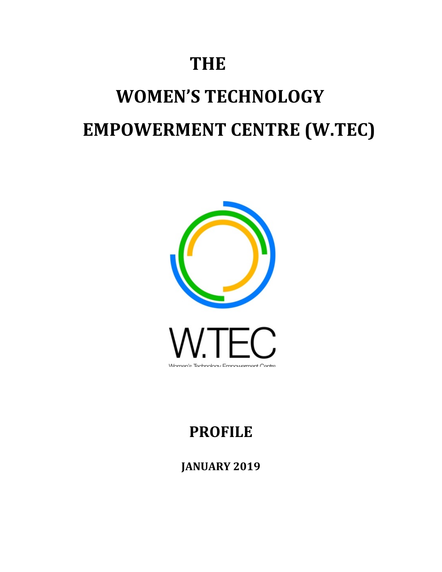# **THE**

# **WOMEN'S TECHNOLOGY EMPOWERMENT CENTRE (W.TEC)**



# **PROFILE**

**JANUARY 2019**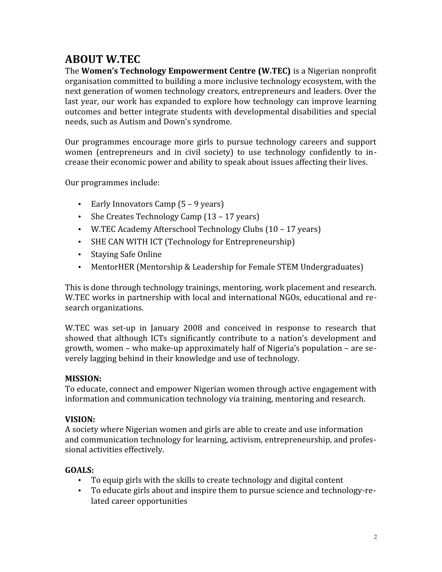# **ABOUT W.TEC**

The **Women's Technology Empowerment Centre (W.TEC)** is a Nigerian nonprofit organisation committed to building a more inclusive technology ecosystem, with the next generation of women technology creators, entrepreneurs and leaders. Over the last year, our work has expanded to explore how technology can improve learning outcomes and better integrate students with developmental disabilities and special needs, such as Autism and Down's syndrome.

Our programmes encourage more girls to pursue technology careers and support women (entrepreneurs and in civil society) to use technology confidently to increase their economic power and ability to speak about issues affecting their lives.

Our programmes include:

- · Early Innovators Camp (5 9 years)
- · She Creates Technology Camp (13 17 years)
- · W.TEC Academy Afterschool Technology Clubs (10 17 years)
- · SHE CAN WITH ICT (Technology for Entrepreneurship)
- · Staying Safe Online
- · MentorHER (Mentorship & Leadership for Female STEM Undergraduates)

This is done through technology trainings, mentoring, work placement and research. W.TEC works in partnership with local and international NGOs, educational and research organizations.

W.TEC was set-up in January 2008 and conceived in response to research that showed that although ICTs significantly contribute to a nation's development and growth, women – who make-up approximately half of Nigeria's population – are severely lagging behind in their knowledge and use of technology.

#### **MISSION:**

To educate, connect and empower Nigerian women through active engagement with information and communication technology via training, mentoring and research.

#### **VISION:**

A society where Nigerian women and girls are able to create and use information and communication technology for learning, activism, entrepreneurship, and professional activities effectively.

#### **GOALS:**

- · To equip girls with the skills to create technology and digital content
- · To educate girls about and inspire them to pursue science and technology-related career opportunities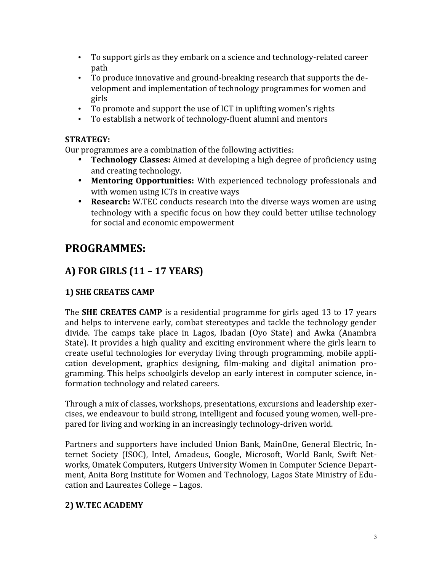- · To support girls as they embark on a science and technology-related career path
- · To produce innovative and ground-breaking research that supports the development and implementation of technology programmes for women and girls
- · To promote and support the use of ICT in uplifting women's rights
- · To establish a network of technology-fluent alumni and mentors

#### **STRATEGY:**

Our programmes are a combination of the following activities:

- · **Technology Classes:** Aimed at developing a high degree of proficiency using and creating technology.
- · **Mentoring Opportunities:** With experienced technology professionals and with women using ICTs in creative ways
- · **Research:** W.TEC conducts research into the diverse ways women are using technology with a specific focus on how they could better utilise technology for social and economic empowerment

# **PROGRAMMES:**

# **A) FOR GIRLS (11 – 17 YEARS)**

#### **1) SHE CREATES CAMP**

The **SHE CREATES CAMP** is a residential programme for girls aged 13 to 17 years and helps to intervene early, combat stereotypes and tackle the technology gender divide. The camps take place in Lagos, Ibadan (Oyo State) and Awka (Anambra State). It provides a high quality and exciting environment where the girls learn to create useful technologies for everyday living through programming, mobile application development, graphics designing, film-making and digital animation programming. This helps schoolgirls develop an early interest in computer science, information technology and related careers.

Through a mix of classes, workshops, presentations, excursions and leadership exercises, we endeavour to build strong, intelligent and focused young women, well-prepared for living and working in an increasingly technology-driven world.

Partners and supporters have included Union Bank, MainOne, General Electric, Internet Society (ISOC), Intel, Amadeus, Google, Microsoft, World Bank, Swift Networks, Omatek Computers, Rutgers University Women in Computer Science Department, Anita Borg Institute for Women and Technology, Lagos State Ministry of Education and Laureates College – Lagos.

#### **2) W.TEC ACADEMY**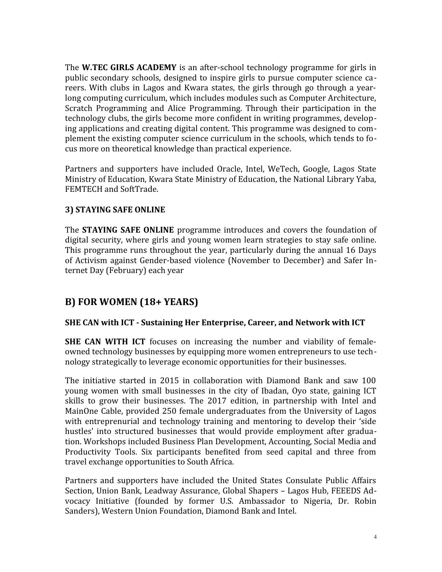The **W.TEC GIRLS ACADEMY** is an after-school technology programme for girls in public secondary schools, designed to inspire girls to pursue computer science careers. With clubs in Lagos and Kwara states, the girls through go through a yearlong computing curriculum, which includes modules such as Computer Architecture, Scratch Programming and Alice Programming. Through their participation in the technology clubs, the girls become more confident in writing programmes, developing applications and creating digital content. This programme was designed to complement the existing computer science curriculum in the schools, which tends to focus more on theoretical knowledge than practical experience.

Partners and supporters have included Oracle, Intel, WeTech, Google, Lagos State Ministry of Education, Kwara State Ministry of Education, the National Library Yaba, FEMTECH and SoftTrade.

#### **3) STAYING SAFE ONLINE**

The **STAYING SAFE ONLINE** programme introduces and covers the foundation of digital security, where girls and young women learn strategies to stay safe online. This programme runs throughout the year, particularly during the annual 16 Days of Activism against Gender-based violence (November to December) and Safer Internet Day (February) each year

#### **B) FOR WOMEN (18+ YEARS)**

#### **SHE CAN with ICT - Sustaining Her Enterprise, Career, and Network with ICT**

**SHE CAN WITH ICT** focuses on increasing the number and viability of femaleowned technology businesses by equipping more women entrepreneurs to use technology strategically to leverage economic opportunities for their businesses.

The initiative started in 2015 in collaboration with Diamond Bank and saw 100 young women with small businesses in the city of Ibadan, Oyo state, gaining ICT skills to grow their businesses. The 2017 edition, in partnership with Intel and MainOne Cable, provided 250 female undergraduates from the University of Lagos with entreprenurial and technology training and mentoring to develop their 'side hustles' into structured businesses that would provide employment after graduation. Workshops included Business Plan Development, Accounting, Social Media and Productivity Tools. Six participants benefited from seed capital and three from travel exchange opportunities to South Africa.

Partners and supporters have included the United States Consulate Public Affairs Section, Union Bank, Leadway Assurance, Global Shapers – Lagos Hub, FEEEDS Advocacy Initiative (founded by former U.S. Ambassador to Nigeria, Dr. Robin Sanders), Western Union Foundation, Diamond Bank and Intel.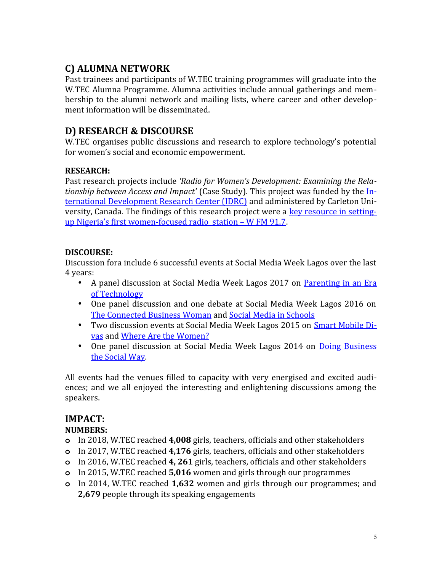## **C) ALUMNA NETWORK**

Past trainees and participants of W.TEC training programmes will graduate into the W.TEC Alumna Programme. Alumna activities include annual gatherings and membership to the alumni network and mailing lists, where career and other development information will be disseminated.

#### **D) RESEARCH & DISCOURSE**

W.TEC organises public discussions and research to explore technology's potential for women's social and economic empowerment.

#### **RESEARCH:**

Past research projects include *'Radio for Women's Development: Examining the Relationship between Access and Impact'* (Case Study). This project was funded by the [In](http://web.idrc.ca/en/ev-139447-201-1-DO_TOPIC.html)[ternational Development Research Center \(IDRC\)](http://web.idrc.ca/en/ev-139447-201-1-DO_TOPIC.html) and administered by Carleton University, Canada. The findings of this research project were a [key resource in setting](http://www.wfm917.com/where-we-are-coming-from.php)[up Nigeria's first women-focused radio station – W FM 91.7](http://www.wfm917.com/where-we-are-coming-from.php).

#### **DISCOURSE:**

Discussion fora include 6 successful events at Social Media Week Lagos over the last 4 years:

- A panel discussion at Social Media Week Lagos 2017 on [Parenting in an Era](https://socialmediaweek.org/lagos/events/parenting-era-technology/) [of Technology](https://socialmediaweek.org/lagos/events/parenting-era-technology/)
- · One panel discussion and one debate at Social Media Week Lagos 2016 on [The Connected Business Woman](https://socialmediaweek.org/lagos/events/connected-business-woman/) and [Social Media in Schools](https://socialmediaweek.org/lagos/events/social-media-schools-case-social-media-curriculum/)
- · Two discussion events at Social Media Week Lagos 2015 on [Smart Mobile Di](http://socialmediaweek.org/lagos/events/smart-mobile-divas/)[vas](http://socialmediaweek.org/lagos/events/smart-mobile-divas/) and [Where Are the Women?](http://socialmediaweek.org/lagos/events/where-are-the-women-examining-the-lack-of-women-developers-in-the-nigerian-technology-ecosystem/)
- · One panel discussion at Social Media Week Lagos 2014 on [Doing Business](http://bit.ly/1tPUcUO) [the Social Way](http://bit.ly/1tPUcUO).

All events had the venues filled to capacity with very energised and excited audiences; and we all enjoyed the interesting and enlightening discussions among the speakers.

## **IMPACT:**

#### **NUMBERS:**

- **o** In 2018, W.TEC reached **4,008** girls, teachers, officials and other stakeholders
- **o** In 2017, W.TEC reached **4,176** girls, teachers, officials and other stakeholders
- **o** In 2016, W.TEC reached **4, 261** girls, teachers, officials and other stakeholders
- **o** In 2015, W.TEC reached **5,016** women and girls through our programmes
- **o** In 2014, W.TEC reached **1,632** women and girls through our programmes; and **2,679** people through its speaking engagements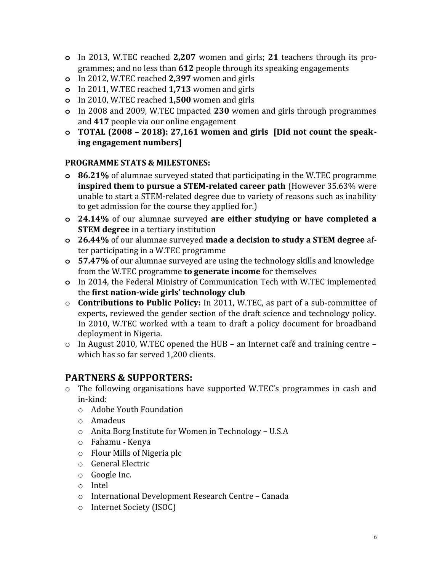- **o** In 2013, W.TEC reached **2,207** women and girls; **21** teachers through its programmes; and no less than **612** people through its speaking engagements
- **o** In 2012, W.TEC reached **2,397** women and girls
- **o** In 2011, W.TEC reached **1,713** women and girls
- **o** In 2010, W.TEC reached **1,500** women and girls
- **o** In 2008 and 2009, W.TEC impacted **230** women and girls through programmes and **417** people via our online engagement
- **o TOTAL (2008 2018): 27,161 women and girls [Did not count the speaking engagement numbers]**

#### **PROGRAMME STATS & MILESTONES:**

- **o 86.21%** of alumnae surveyed stated that participating in the W.TEC programme **inspired them to pursue a STEM-related career path** (However 35.63% were unable to start a STEM-related degree due to variety of reasons such as inability to get admission for the course they applied for.)
- **o 24.14%** of our alumnae surveyed **are either studying or have completed a STEM degree** in a tertiary institution
- **o 26.44%** of our alumnae surveyed **made a decision to study a STEM degree** after participating in a W.TEC programme
- **o 57.47%** of our alumnae surveyed are using the technology skills and knowledge from the W.TEC programme **to generate income** for themselves
- **o** In 2014, the Federal Ministry of Communication Tech with W.TEC implemented the **first nation-wide girls' technology club**
- o **Contributions to Public Policy:** In 2011, W.TEC, as part of a sub-committee of experts, reviewed the gender section of the draft science and technology policy. In 2010, W.TEC worked with a team to draft a policy document for broadband deployment in Nigeria.
- o In August 2010, W.TEC opened the HUB an Internet café and training centre which has so far served 1,200 clients.

#### **PARTNERS & SUPPORTERS:**

- o The following organisations have supported W.TEC's programmes in cash and in-kind:
	- o Adobe Youth Foundation
	- o Amadeus
	- o Anita Borg Institute for Women in Technology U.S.A
	- o Fahamu Kenya
	- o Flour Mills of Nigeria plc
	- o General Electric
	- o Google Inc.
	- o Intel
	- o International Development Research Centre Canada
	- o Internet Society (ISOC)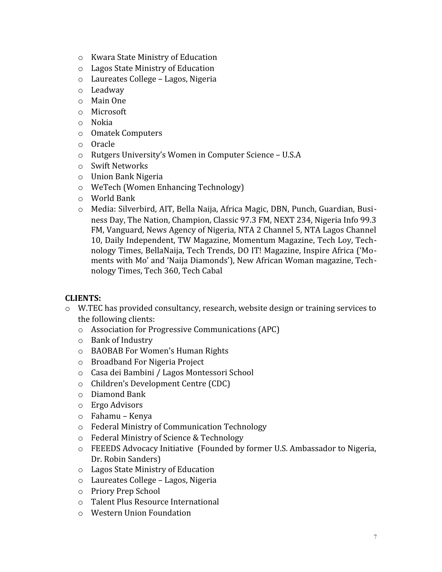- o Kwara State Ministry of Education
- o Lagos State Ministry of Education
- o Laureates College Lagos, Nigeria
- o Leadway
- o Main One
- o Microsoft
- o Nokia
- o Omatek Computers
- o Oracle
- o Rutgers University's Women in Computer Science U.S.A
- o Swift Networks
- o Union Bank Nigeria
- o WeTech (Women Enhancing Technology)
- o World Bank
- o Media: Silverbird, AIT, Bella Naija, Africa Magic, DBN, Punch, Guardian, Business Day, The Nation, Champion, Classic 97.3 FM, NEXT 234, Nigeria Info 99.3 FM, Vanguard, News Agency of Nigeria, NTA 2 Channel 5, NTA Lagos Channel 10, Daily Independent, TW Magazine, Momentum Magazine, Tech Loy, Technology Times, BellaNaija, Tech Trends, DO IT! Magazine, Inspire Africa ('Moments with Mo' and 'Naija Diamonds'), New African Woman magazine, Technology Times, Tech 360, Tech Cabal

#### **CLIENTS:**

- o W.TEC has provided consultancy, research, website design or training services to the following clients:
	- o Association for Progressive Communications (APC)
	- o Bank of Industry
	- o BAOBAB For Women's Human Rights
	- o Broadband For Nigeria Project
	- o Casa dei Bambini / Lagos Montessori School
	- o Children's Development Centre (CDC)
	- o Diamond Bank
	- o Ergo Advisors
	- o Fahamu Kenya
	- o Federal Ministry of Communication Technology
	- o Federal Ministry of Science & Technology
	- o FEEEDS Advocacy Initiative (Founded by former U.S. Ambassador to Nigeria, Dr. Robin Sanders)
	- o Lagos State Ministry of Education
	- o Laureates College Lagos, Nigeria
	- o Priory Prep School
	- o Talent Plus Resource International
	- o Western Union Foundation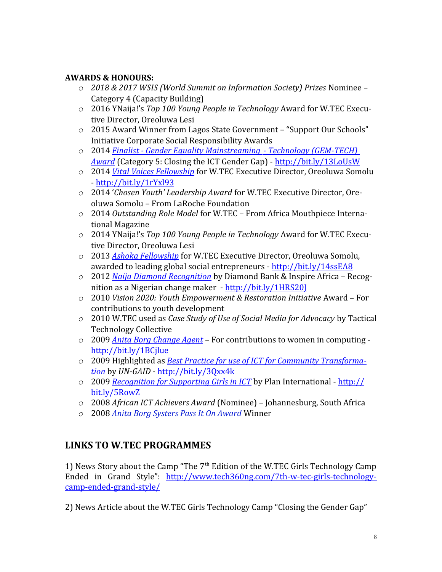#### **AWARDS & HONOURS:**

- *o 2018 & 2017 WSIS (World Summit on Information Society) Prizes* Nominee Category 4 (Capacity Building)
- *o* 2016 YNaija!'s *Top 100 Young People in Technology* Award for W.TEC Executive Director, Oreoluwa Lesi
- *o* 2015 Award Winner from Lagos State Government "Support Our Schools" Initiative Corporate Social Responsibility Awards
- *o* 2014 *[Finalist Gender Equality Mainstreaming Technology \(GEM-TECH\)](http://www.itu.int/en/action/women/gem/Pages/finalists.aspx)  [Award](http://www.itu.int/en/action/women/gem/Pages/finalists.aspx)* (Category 5: Closing the ICT Gender Gap) - <http://bit.ly/13LoUsW>
- *o* 2014 *[Vital Voices Fellowship](http://www.vitalvoices.org/VVLeadFellowship)* for W.TEC Executive Director, Oreoluwa Somolu - <http://bit.ly/1rYxl93>
- *o* 2014 '*Chosen Youth' Leadership Award* for W.TEC Executive Director, Oreoluwa Somolu – From LaRoche Foundation
- *o* 2014 *Outstanding Role Model* for W.TEC From Africa Mouthpiece International Magazine
- *o* 2014 YNaija!'s *Top 100 Young People in Technology* Award for W.TEC Executive Director, Oreoluwa Lesi
- *o* 2013 *[Ashoka Fellowship](https://www.ashoka.org/fellow/oreoluwa-somolu)* for W.TEC Executive Director, Oreoluwa Somolu, awarded to leading global social entrepreneurs -<http://bit.ly/14ssEA8>
- *o* 2012 *[Naija Diamond Recognition](http://naijadiamonds.com/episode6SS2oreoluwa.html)* by Diamond Bank & Inspire Africa Recognition as a Nigerian change maker - <http://bit.ly/1HRS20J>
- *o* 2010 *Vision 2020: Youth Empowerment & Restoration Initiative* Award For contributions to youth development
- *o* 2010 W.TEC used as *Case Study of Use of Social Media for Advocacy* by Tactical Technology Collective
- *o* 2009 *[Anita Borg Change Agent](http://anitaborg.org/profiles/ghc-abie-award-winners/oreoluwa-somolu/)* For contributions to women in computing <http://bit.ly/1BCjlue>
- *o* 2009 Highlighted as *[Best Practice for use of ICT for Community Transforma](http://bit.ly/3Qxx4k)[tion](http://bit.ly/3Qxx4k)* by *UN-GAID -* <http://bit.ly/3Qxx4k>
- *o* 2009 *[Recognition for Supporting Girls in ICT](http://bit.ly/5RowZ)* by Plan International - [http://](http://bit.ly/5RowZ) [bit.ly/5RowZ](http://bit.ly/5RowZ)
- *o* 2008 *African ICT Achievers Award* (Nominee) Johannesburg, South Africa
- *o* 2008 *[Anita Borg Systers Pass It On Award](https://anitab.org/profiles/pio-award-recipients/oreoluwa-s/)* Winner

#### **LINKS TO W.TEC PROGRAMMES**

1) News Story about the Camp "The 7<sup>th</sup> Edition of the W.TEC Girls Technology Camp Ended in Grand Style": [http://www.tech360ng.com/7th-w-tec-girls-technology](http://www.tech360ng.com/7th-w-tec-girls-technology-camp-ended-grand-style/)[camp-ended-grand-style/](http://www.tech360ng.com/7th-w-tec-girls-technology-camp-ended-grand-style/)

2) News Article about the W.TEC Girls Technology Camp "Closing the Gender Gap"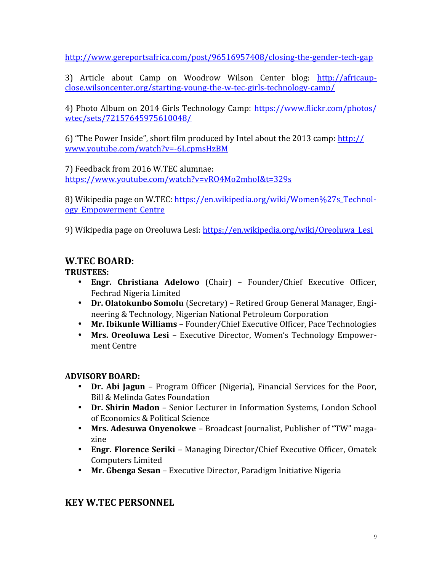<http://www.gereportsafrica.com/post/96516957408/closing-the-gender-tech-gap>

3) Article about Camp on Woodrow Wilson Center blog: [http://africaup](http://africaupclose.wilsoncenter.org/starting-young-the-w-tec-girls-technology-camp/)[close.wilsoncenter.org/starting-young-the-w-tec-girls-technology-camp/](http://africaupclose.wilsoncenter.org/starting-young-the-w-tec-girls-technology-camp/)

4) Photo Album on 2014 Girls Technology Camp: [https://www.flickr.com/photos/](https://www.flickr.com/photos/wtec/sets/72157645975610048/) [wtec/sets/72157645975610048/](https://www.flickr.com/photos/wtec/sets/72157645975610048/)

6) "The Power Inside", short film produced by Intel about the 2013 camp: [http://](http://www.youtube.com/watch?v=-6LcpmsHzBM) [www.youtube.com/watch?v=-6LcpmsHzBM](http://www.youtube.com/watch?v=-6LcpmsHzBM)

7) Feedback from 2016 W.TEC alumnae: <https://www.youtube.com/watch?v=vRO4Mo2mhoI&t=329s>

8) Wikipedia page on W.TEC: [https://en.wikipedia.org/wiki/Women%27s\\_Technol](https://en.wikipedia.org/wiki/Women%2527s_Technology_Empowerment_Centre)[ogy\\_Empowerment\\_Centre](https://en.wikipedia.org/wiki/Women%2527s_Technology_Empowerment_Centre)

9) Wikipedia page on Oreoluwa Lesi: [https://en.wikipedia.org/wiki/Oreoluwa\\_Lesi](https://en.wikipedia.org/wiki/Oreoluwa_Lesi)

### **W.TEC BOARD:**

**TRUSTEES:**

- · **Engr. Christiana Adelowo** (Chair) Founder/Chief Executive Officer, Fechrad Nigeria Limited
- · **Dr. Olatokunbo Somolu** (Secretary) Retired Group General Manager, Engineering & Technology, Nigerian National Petroleum Corporation
- · **Mr. Ibikunle Williams** Founder/Chief Executive Officer, Pace Technologies
- · **Mrs. Oreoluwa Lesi** Executive Director, Women's Technology Empowerment Centre

#### **ADVISORY BOARD:**

- · **Dr. Abi Jagun** Program Officer (Nigeria), Financial Services for the Poor, Bill & Melinda Gates Foundation
- · **Dr. Shirin Madon** Senior Lecturer in Information Systems, London School of Economics & Political Science
- · **Mrs. Adesuwa Onyenokwe** Broadcast Journalist, Publisher of "TW" magazine
- · **Engr. Florence Seriki** Managing Director/Chief Executive Officer, Omatek Computers Limited
- · **Mr. Gbenga Sesan** Executive Director, Paradigm Initiative Nigeria

#### **KEY W.TEC PERSONNEL**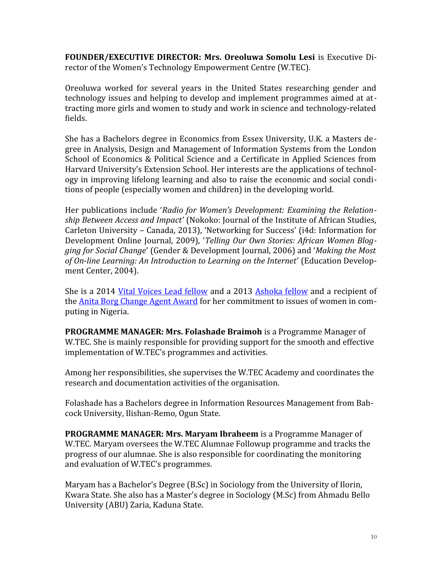**FOUNDER/EXECUTIVE DIRECTOR: Mrs. Oreoluwa Somolu Lesi** is Executive Director of the Women's Technology Empowerment Centre (W.TEC).

Oreoluwa worked for several years in the United States researching gender and technology issues and helping to develop and implement programmes aimed at attracting more girls and women to study and work in science and technology-related fields.

She has a Bachelors degree in Economics from Essex University, U.K. a Masters degree in Analysis, Design and Management of Information Systems from the London School of Economics & Political Science and a Certificate in Applied Sciences from Harvard University's Extension School. Her interests are the applications of technology in improving lifelong learning and also to raise the economic and social conditions of people (especially women and children) in the developing world.

Her publications include '*Radio for Women's Development: Examining the Relationship Between Access and Impact'* (Nokoko: Journal of the Institute of African Studies, Carleton University – Canada, 2013), 'Networking for Success' (i4d: Information for Development Online Journal, 2009), '*Telling Our Own Stories: African Women Blogging for Social Change*' (Gender & Development Journal, 2006) and '*Making the Most of On-line Learning: An Introduction to Learning on the Internet*' (Education Development Center, 2004).

She is a 2014 [Vital Voices Lead fellow](http://www.vitalvoices.org/global-initiatives/vvlead-fellowship-program) and a 2013 [Ashoka fellow](https://www.ashoka.org/fellow/oreoluwa-somolu) and a recipient of the [Anita Borg Change Agent Award](http://anitaborg.org/news/archive/concludes-9th-ghc/) for her commitment to issues of women in computing in Nigeria.

**PROGRAMME MANAGER: Mrs. Folashade Braimoh** is a Programme Manager of W.TEC. She is mainly responsible for providing support for the smooth and effective implementation of W.TEC's programmes and activities.

Among her responsibilities, she supervises the W.TEC Academy and coordinates the research and documentation activities of the organisation.

Folashade has a Bachelors degree in Information Resources Management from Babcock University, Ilishan-Remo, Ogun State.

**PROGRAMME MANAGER: Mrs. Maryam Ibraheem** is a Programme Manager of W.TEC. Maryam oversees the W.TEC Alumnae Followup programme and tracks the progress of our alumnae. She is also responsible for coordinating the monitoring and evaluation of W.TEC's programmes.

Maryam has a Bachelor's Degree (B.Sc) in Sociology from the University of Ilorin, Kwara State. She also has a Master's degree in Sociology (M.Sc) from Ahmadu Bello University (ABU) Zaria, Kaduna State.